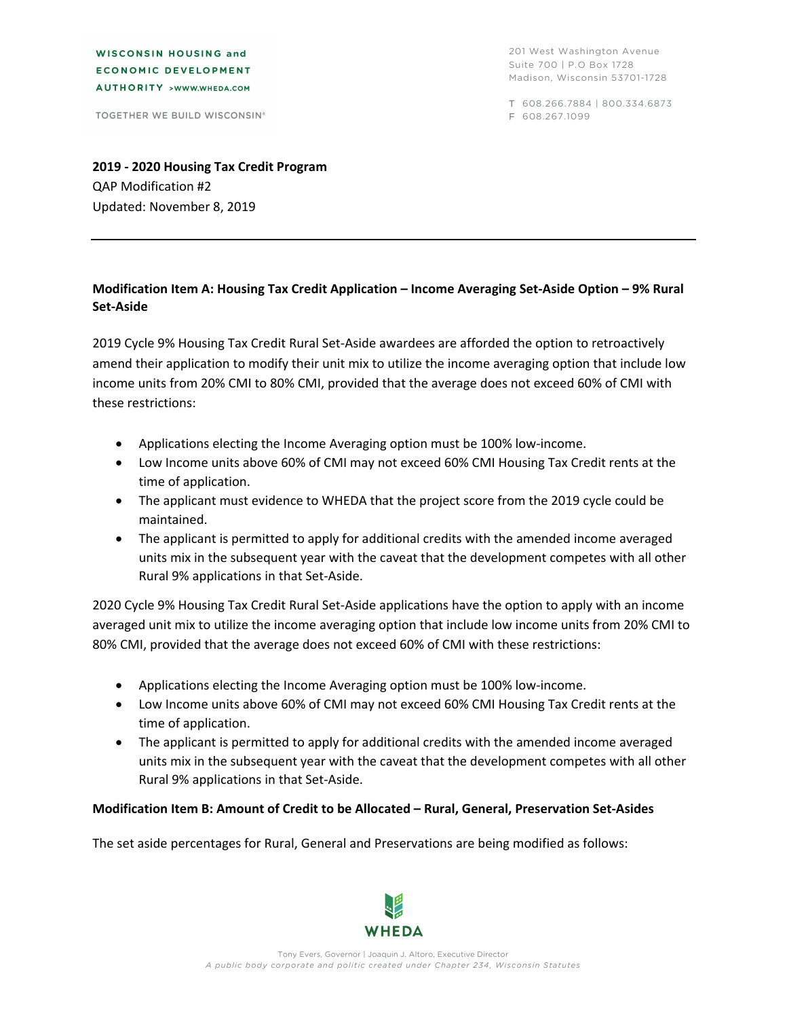WISCONSIN HOUSING and **ECONOMIC DEVELOPMENT** AUTHORITY >WWW.WHEDA.COM

TOGETHER WE BUILD WISCONSIN®

201 West Washington Avenue Suite 700 | P.O Box 1728 Madison, Wisconsin 53701-1728

T 608.266.7884 | 800.334.6873 F 608.267.1099

**2019 ‐ 2020 Housing Tax Credit Program** QAP Modification #2 Updated: November 8, 2019

## **Modification Item A: Housing Tax Credit Application – Income Averaging Set‐Aside Option – 9% Rural Set‐Aside**

2019 Cycle 9% Housing Tax Credit Rural Set‐Aside awardees are afforded the option to retroactively amend their application to modify their unit mix to utilize the income averaging option that include low income units from 20% CMI to 80% CMI, provided that the average does not exceed 60% of CMI with these restrictions:

- Applications electing the Income Averaging option must be 100% low-income.
- Low Income units above 60% of CMI may not exceed 60% CMI Housing Tax Credit rents at the time of application.
- The applicant must evidence to WHEDA that the project score from the 2019 cycle could be maintained.
- The applicant is permitted to apply for additional credits with the amended income averaged units mix in the subsequent year with the caveat that the development competes with all other Rural 9% applications in that Set‐Aside.

2020 Cycle 9% Housing Tax Credit Rural Set‐Aside applications have the option to apply with an income averaged unit mix to utilize the income averaging option that include low income units from 20% CMI to 80% CMI, provided that the average does not exceed 60% of CMI with these restrictions:

- Applications electing the Income Averaging option must be 100% low-income.
- Low Income units above 60% of CMI may not exceed 60% CMI Housing Tax Credit rents at the time of application.
- The applicant is permitted to apply for additional credits with the amended income averaged units mix in the subsequent year with the caveat that the development competes with all other Rural 9% applications in that Set‐Aside.

## **Modification Item B: Amount of Credit to be Allocated – Rural, General, Preservation Set‐Asides**

The set aside percentages for Rural, General and Preservations are being modified as follows: